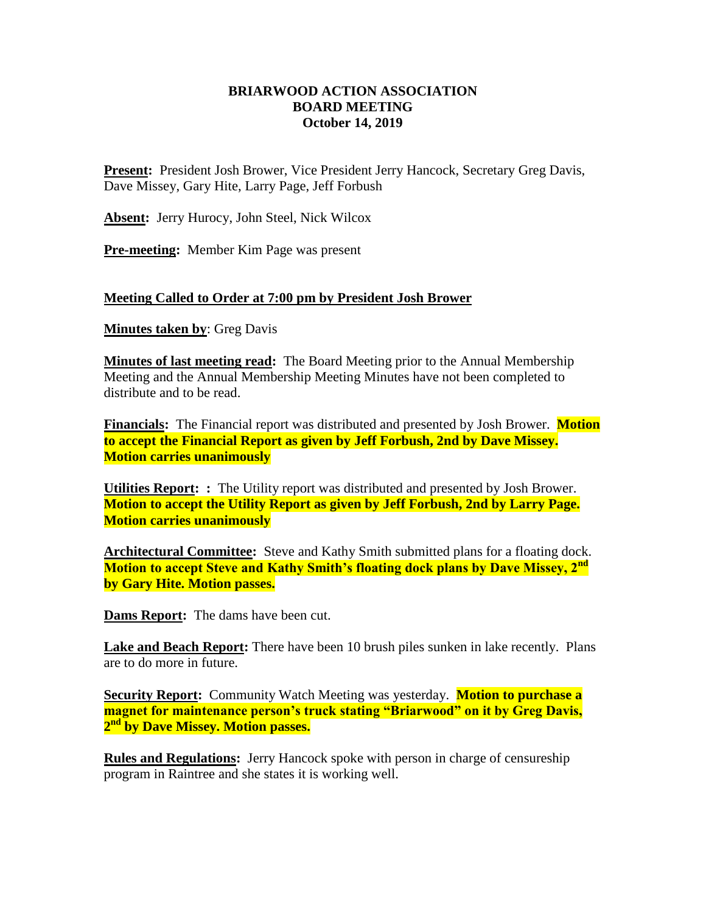## **BRIARWOOD ACTION ASSOCIATION BOARD MEETING October 14, 2019**

**Present:** President Josh Brower, Vice President Jerry Hancock, Secretary Greg Davis, Dave Missey, Gary Hite, Larry Page, Jeff Forbush

**Absent:** Jerry Hurocy, John Steel, Nick Wilcox

**Pre-meeting:** Member Kim Page was present

## **Meeting Called to Order at 7:00 pm by President Josh Brower**

**Minutes taken by**: Greg Davis

**Minutes of last meeting read:** The Board Meeting prior to the Annual Membership Meeting and the Annual Membership Meeting Minutes have not been completed to distribute and to be read.

**Financials:** The Financial report was distributed and presented by Josh Brower. **Motion to accept the Financial Report as given by Jeff Forbush, 2nd by Dave Missey. Motion carries unanimously** 

**Utilities Report: :** The Utility report was distributed and presented by Josh Brower. **Motion to accept the Utility Report as given by Jeff Forbush, 2nd by Larry Page. Motion carries unanimously** 

**Architectural Committee:** Steve and Kathy Smith submitted plans for a floating dock. **Motion to accept Steve and Kathy Smith's floating dock plans by Dave Missey, 2nd by Gary Hite. Motion passes.**

**Dams Report:** The dams have been cut.

**Lake and Beach Report:** There have been 10 brush piles sunken in lake recently. Plans are to do more in future.

**Security Report:** Community Watch Meeting was yesterday. **Motion to purchase a magnet for maintenance person's truck stating "Briarwood" on it by Greg Davis, 2 nd by Dave Missey. Motion passes.**

**Rules and Regulations:** Jerry Hancock spoke with person in charge of censureship program in Raintree and she states it is working well.